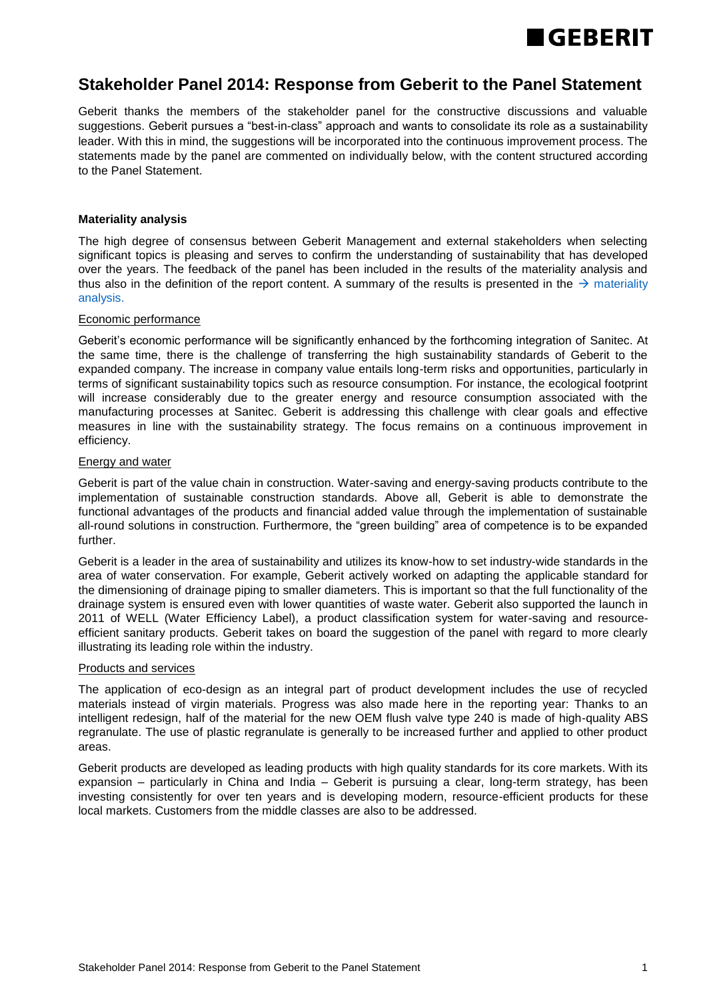

# **Stakeholder Panel 2014: Response from Geberit to the Panel Statement**

Geberit thanks the members of the stakeholder panel for the constructive discussions and valuable suggestions. Geberit pursues a "best-in-class" approach and wants to consolidate its role as a sustainability leader. With this in mind, the suggestions will be incorporated into the continuous improvement process. The statements made by the panel are commented on individually below, with the content structured according to the Panel Statement.

# **Materiality analysis**

The high degree of consensus between Geberit Management and external stakeholders when selecting significant topics is pleasing and serves to confirm the understanding of sustainability that has developed over the years. The feedback of the panel has been included in the results of the materiality analysis and thus also in the definition of the report content. A summary of the results is presented in the  $\rightarrow$  materiality [analysis.](http://annualreport.geberit.com/reports/geberit/annual/2014/gb/English/3030/materiality-analysis.html) 

# Economic performance

Geberit's economic performance will be significantly enhanced by the forthcoming integration of Sanitec. At the same time, there is the challenge of transferring the high sustainability standards of Geberit to the expanded company. The increase in company value entails long-term risks and opportunities, particularly in terms of significant sustainability topics such as resource consumption. For instance, the ecological footprint will increase considerably due to the greater energy and resource consumption associated with the manufacturing processes at Sanitec. Geberit is addressing this challenge with clear goals and effective measures in line with the sustainability strategy. The focus remains on a continuous improvement in efficiency.

### Energy and water

Geberit is part of the value chain in construction. Water-saving and energy-saving products contribute to the implementation of sustainable construction standards. Above all, Geberit is able to demonstrate the functional advantages of the products and financial added value through the implementation of sustainable all-round solutions in construction. Furthermore, the "green building" area of competence is to be expanded further.

Geberit is a leader in the area of sustainability and utilizes its know-how to set industry-wide standards in the area of water conservation. For example, Geberit actively worked on adapting the applicable standard for the dimensioning of drainage piping to smaller diameters. This is important so that the full functionality of the drainage system is ensured even with lower quantities of waste water. Geberit also supported the launch in 2011 of WELL (Water Efficiency Label), a product classification system for water-saving and resourceefficient sanitary products. Geberit takes on board the suggestion of the panel with regard to more clearly illustrating its leading role within the industry.

### Products and services

The application of eco-design as an integral part of product development includes the use of recycled materials instead of virgin materials. Progress was also made here in the reporting year: Thanks to an intelligent redesign, half of the material for the new OEM flush valve type 240 is made of high-quality ABS regranulate. The use of plastic regranulate is generally to be increased further and applied to other product areas.

Geberit products are developed as leading products with high quality standards for its core markets. With its expansion – particularly in China and India – Geberit is pursuing a clear, long-term strategy, has been investing consistently for over ten years and is developing modern, resource-efficient products for these local markets. Customers from the middle classes are also to be addressed.